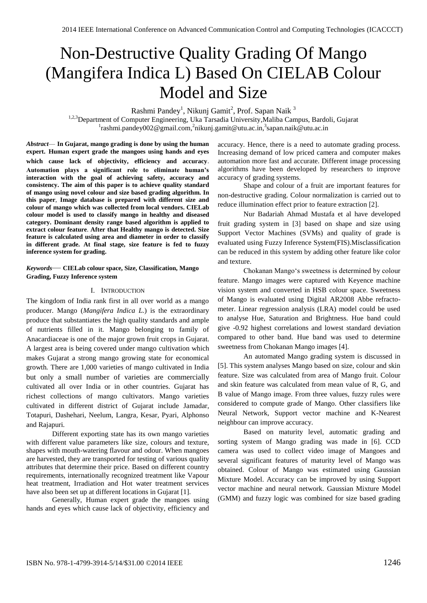# Non-Destructive Quality Grading Of Mango (Mangifera Indica L) Based On CIELAB Colour Model and Size

Rashmi Pandey<sup>1</sup>, Nikunj Gamit<sup>2</sup>, Prof. Sapan Naik<sup>3</sup>

<sup>1,2,3</sup>Department of Computer Engineering, Uka Tarsadia University, Maliba Campus, Bardoli, Gujarat  $^{1}$ rashmi.pandey002@gmail.com,<sup>2</sup>nikunj.gamit@utu.ac.in,<sup>3</sup>sapan.naik@utu.ac.in

*Abstract*— **In Gujarat, mango grading is done by using the human expert. Human expert grade the mangoes using hands and eyes which cause lack of objectivity, efficiency and accuracy**. **Automation plays a significant role to eliminate human's interaction with the goal of achieving safety, accuracy and consistency. The aim of this paper is to achieve quality standard of mango using novel colour and size based grading algorithm. In this paper**, **Image database is prepared with different size and colour of mango which was collected from local vendors. CIELab colour model is used to classify mango in healthy and diseased category. Dominant density range based algorithm is applied to extract colour feature**. **After that Healthy mango is detected. Size feature is calculated using area and diameter in order to classify in different grade. At final stage, size feature is fed to fuzzy inference system for grading.**

#### *Keywords*— **CIELab colour space, Size, Classification, Mango Grading, Fuzzy Inference system**

## I. INTRODUCTION

The kingdom of India rank first in all over world as a mango producer. Mango (*Mangifera Indica L.*) is the extraordinary produce that substantiates the high quality standards and ample of nutrients filled in it. Mango belonging to family of Anacardiaceae is one of the major grown fruit crops in Gujarat. A largest area is being covered under mango cultivation which makes Gujarat a strong mango growing state for economical growth*.* There are 1,000 varieties of mango cultivated in India but only a small number of varieties are commercially cultivated all over India or in other countries. Gujarat has richest collections of mango cultivators. Mango varieties cultivated in different district of Gujarat include Jamadar, Totapuri, Dashehari, Neelum, Langra*,* Kesar, Pyari, Alphonso and Rajapuri*.*

Different exporting state has its own mango varieties with different value parameters like size, colours and texture, shapes with mouth-watering flavour and odour. When mangoes are harvested, they are transported for testing of various quality attributes that determine their price. Based on different country requirements, internationally recognized treatment like Vapour heat treatment, Irradiation and Hot water treatment services have also been set up at different locations in Gujarat [1].

Generally, Human expert grade the mangoes using hands and eyes which cause lack of objectivity, efficiency and accuracy. Hence, there is a need to automate grading process. Increasing demand of low priced camera and computer makes automation more fast and accurate. Different image processing algorithms have been developed by researchers to improve accuracy of grading systems.

Shape and colour of a fruit are important features for non-destructive grading. Colour normalization is carried out to reduce illumination effect prior to feature extraction [2].

Nur Badariah Ahmad Mustafa et al have developed fruit grading system in [3] based on shape and size using Support Vector Machines (SVMs) and quality of grade is evaluated using Fuzzy Inference System(FIS).Misclassification can be reduced in this system by adding other feature like color and texture.

Chokanan Mango‗s sweetness is determined by colour feature. Mango images were captured with Keyence machine vision system and converted in HSB colour space. Sweetness of Mango is evaluated using Digital AR2008 Abbe refractometer. Linear regression analysis (LRA) model could be used to analyse Hue, Saturation and Brightness. Hue band could give -0.92 highest correlations and lowest standard deviation compared to other band. Hue band was used to determine sweetness from Chokanan Mango images [4].

An automated Mango grading system is discussed in [5]. This system analyses Mango based on size, colour and skin feature. Size was calculated from area of Mango fruit. Colour and skin feature was calculated from mean value of R, G, and B value of Mango image. From three values, fuzzy rules were considered to compute grade of Mango. Other classifiers like Neural Network, Support vector machine and K-Nearest neighbour can improve accuracy.

Based on maturity level, automatic grading and sorting system of Mango grading was made in [6]. CCD camera was used to collect video image of Mangoes and several significant features of maturity level of Mango was obtained. Colour of Mango was estimated using Gaussian Mixture Model. Accuracy can be improved by using Support vector machine and neural network. Gaussian Mixture Model (GMM) and fuzzy logic was combined for size based grading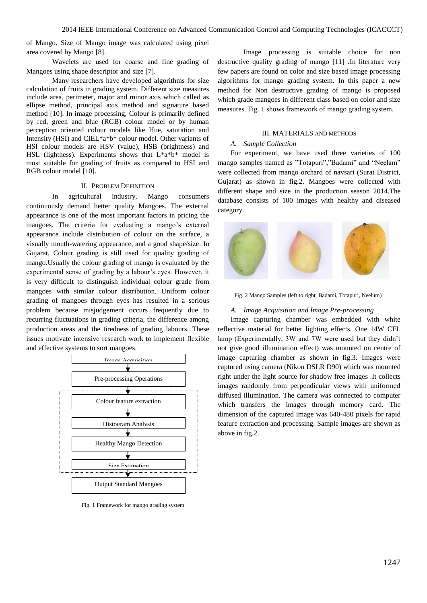of Mango. Size of Mango image was calculated using pixel area covered by Mango [8].

Wavelets are used for coarse and fine grading of Mangoes using shape descriptor and size [7].

Many researchers have developed algorithms for size calculation of fruits in grading system. Different size measures include area, perimeter, major and minor axis which called as ellipse method, principal axis method and signature based method [10]. In image processing, Colour is primarily defined by red, green and blue (RGB) colour model or by human perception oriented colour models like Hue, saturation and Intensity (HSI) and CIEL\*a\*b\* colour model. Other variants of HSI colour models are HSV (value), HSB (brightness) and HSL (lightness). Experiments shows that L\*a\*b\* model is most suitable for grading of fruits as compared to HSI and RGB colour model [10].

## II. PROBLEM DEFINITION

In agricultural industry, Mango consumers continuously demand better quality Mangoes. The external appearance is one of the most important factors in pricing the mangoes. The criteria for evaluating a mango's external appearance include distribution of colour on the surface, a visually mouth-watering appearance, and a good shape/size. In Gujarat, Colour grading is still used for quality grading of mango.Usually the colour grading of mango is evaluated by the experimental sense of grading by a labour's eyes. However, it is very difficult to distinguish individual colour grade from mangoes with similar colour distribution. Uniform colour grading of mangoes through eyes has resulted in a serious problem because misjudgement occurs frequently due to recurring fluctuations in grading criteria, the difference among production areas and the tiredness of grading labours. These issues motivate intensive research work to implement flexible and effective systems to sort mangoes.



Fig. 1 Framework for mango grading system

Image processing is suitable choice for non destructive quality grading of mango [11] .In literature very few papers are found on color and size based image processing algorithms for mango grading system. In this paper a new method for Non destructive grading of mango is proposed which grade mangoes in different class based on color and size measures. Fig. 1 shows framework of mango grading system.

### III. MATERIALS AND METHODS

#### *A. Sample Collection*

For experiment, we have used three varieties of 100 mango samples named as "Totapuri", "Badami" and "Neelam" were collected from mango orchard of navsari (Surat District, Gujarat) as shown in fig.2. Mangoes were collected with different shape and size in the production season 2014.The database consists of 100 images with healthy and diseased category.



Fig. 2 Mango Samples (left to right, Badami, Totapuri, Neelum)

## *A. Image Acquisition and Image Pre-processing*

Image capturing chamber was embedded with white reflective material for better lighting effects. One 14W CFL lamp (Experimentally, 3W and 7W were used but they didn't not give good illumination effect) was mounted on centre of image capturing chamber as shown in fig.3. Images were captured using camera (Nikon DSLR D90) which was mounted right under the light source for shadow free images .It collects images randomly from perpendicular views with uniformed diffused illumination. The camera was connected to computer which transfers the images through memory card. The dimension of the captured image was 640-480 pixels for rapid feature extraction and processing. Sample images are shown as above in fig.2.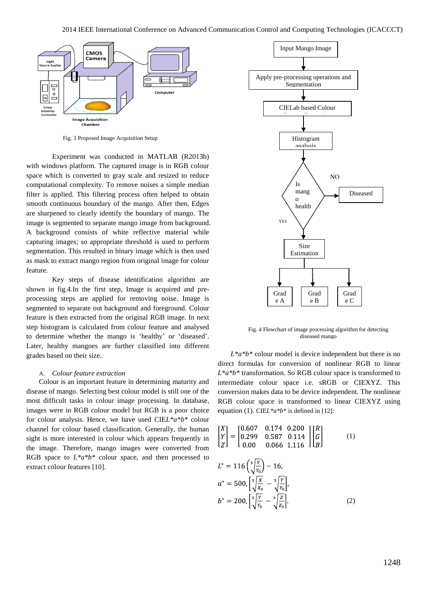

Fig. 3 Proposed Image Acquisition Setup

Experiment was conducted in MATLAB (R2013b) with windows platform. The captured image is in RGB colour space which is converted to gray scale and resized to reduce computational complexity. To remove noises a simple median filter is applied. This filtering process often helped to obtain smooth continuous boundary of the mango. After then, Edges are sharpened to clearly identify the boundary of mango. The image is segmented to separate mango image from background. A background consists of white reflective material while capturing images; so appropriate threshold is used to perform segmentation. This resulted in binary image which is then used as mask to extract mango region from original image for colour feature.

Key steps of disease identification algorithm are shown in fig.4.In the first step, Image is acquired and preprocessing steps are applied for removing noise. Image is segmented to separate out background and foreground. Colour feature is then extracted from the original RGB image. In next step histogram is calculated from colour feature and analysed to determine whether the mango is 'healthy' or 'diseased'. Later, healthy mangoes are further classified into different grades based on their size.

#### A. *Colour feature extraction*

 Colour is an important feature in determining maturity and disease of mango. Selecting best colour model is still one of the most difficult tasks in colour image processing. In database, images were in RGB colour model but RGB is a poor choice for colour analysis. Hence, we have used CIE*L\*a\*b\** colour channel for colour based classification. Generally, the human sight is more interested in colour which appears frequently in the image. Therefore, mango images were converted from RGB space to *L\*a\*b\** colour space, and then processed to extract colour features [10].



Fig. 4 Flowchart of image processing algorithm for detecting diseased mango

*L\*a\*b\** colour model is device independent but there is no direct formulas for conversion of nonlinear RGB to linear *L\*a\*b\** transformation. So RGB colour space is transformed to intermediate colour space i.e. sRGB or CIEXYZ. This conversion makes data to be device independent. The nonlinear RGB colour space is transformed to linear CIEXYZ using equation (1). CIE*L\*a\*b\** is defined in [12]*:*

$$
\begin{bmatrix} X \ Y \ Z \end{bmatrix} = \begin{bmatrix} 0.607 & 0.174 & 0.200 \\ 0.299 & 0.587 & 0.114 \\ 0.00 & 0.066 & 1.116 \end{bmatrix} \begin{bmatrix} R \\ G \\ B \end{bmatrix}
$$
 (1)

$$
L^* = 116 \left(\sqrt[3]{\frac{Y}{Y_0}}\right) - 16,
$$
  
\n
$$
a^* = 500, \left[\sqrt[3]{\frac{X}{X_0}} - \sqrt[3]{\frac{Y}{Y_0}}\right],
$$
  
\n
$$
b^* = 200, \left[\sqrt[3]{\frac{Y}{Y_0}} - \sqrt[3]{\frac{Z}{Z_0}}\right].
$$
\n(2)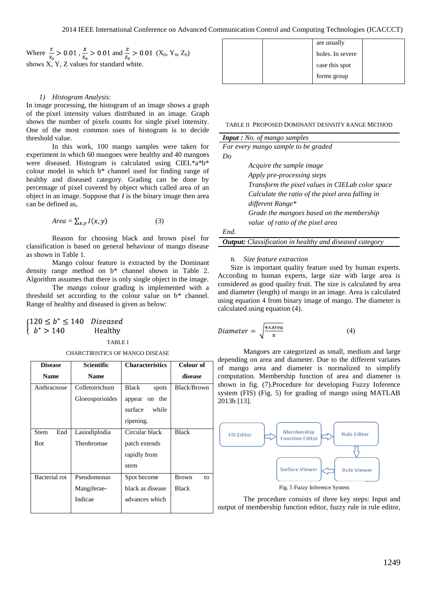Where  $\frac{y}{y_0} > 0.01$ ,  $\frac{x}{x_0} > 0.01$  and  $\frac{z}{z_0} > 0.01$ . (X<sub>0</sub>, Y<sub>0</sub>, Z<sub>0</sub>) shows X, Y, Z values for standard white.

### *1) Histogram Analysis:*

In image processing, the histogram of an image shows a graph of the pixel intensity values distributed in an image. Graph shows the number of pixels counts for single pixel intensity. One of the most common uses of histogram is to decide threshold value.

In this work, 100 mango samples were taken for experiment in which 60 mangoes were healthy and 40 mangoes were diseased. Histogram is calculated using CIEL\*a\*b\* colour model in which b\* channel used for finding range of healthy and diseased category. Grading can be done by percentage of pixel covered by object which called area of an object in an image. Suppose that *I* is the binary image then area can be defined as,

$$
Area = \sum_{x,y} I(x,y) \tag{3}
$$

Reason for choosing black and brown pixel for classification is based on general behaviour of mango disease as shown in Table 1.

Mango colour feature is extracted by the Dominant density range method on b\* channel shown in Table 2. Algorithm assumes that there is only single object in the image.

The mango colour grading is implemented with a threshold set according to the colour value on b\* channel. Range of healthy and diseased is given as below:

 $(120 \le b^* \le 140$  Diseased  $b^* > 140$ Healthy

TABLE I

CHARCTIRISTICS OF MANGO DISEASE

| <b>Scientific</b><br><b>Disease</b> |                 | <b>Characteristics</b> | Colour of    |  |
|-------------------------------------|-----------------|------------------------|--------------|--|
| <b>Name</b><br><b>Name</b>          |                 |                        | disease      |  |
| Anthracnose                         | Colletotrichum  | Black<br>spots         | Black/Brown  |  |
|                                     | Gloeosporioides | appear on the          |              |  |
|                                     |                 | surface<br>while       |              |  |
|                                     |                 | ripening.              |              |  |
| End<br>Stem                         | Lasiodiplodia   | Circular black         | <b>Black</b> |  |
| Rot                                 | Theobromae      | patch extends          |              |  |
|                                     |                 | rapidly from           |              |  |
|                                     |                 | stem                   |              |  |
| <b>Bacterial</b> rot                | Pseudomonas     | Spot become            | Brown<br>to  |  |
|                                     | Mangiferae-     | black as disease       | <b>Black</b> |  |
|                                     | Indicae         | advances which         |              |  |

|  | are usually      |  |
|--|------------------|--|
|  | holes. In severe |  |
|  | case this spot   |  |
|  | forms group      |  |

TABLE II PROPOSED DOMINANT DESNSITY RANGE METHOD

|      | <b>Input</b> : No. of mango samples              |
|------|--------------------------------------------------|
|      | For every mango sample to be graded              |
| Do   |                                                  |
|      | Acquire the sample image                         |
|      | Apply pre-processing steps                       |
|      | Transform the pixel values in CIELab color space |
|      | Calculate the ratio of the pixel area falling in |
|      | different Range*                                 |
|      | Grade the mangoes based on the membership        |
|      | value of ratio of the pixel area                 |
| End. |                                                  |

*Output: Classification in healthy and diseased category*

#### B. *Size feature extraction*

Size is important quality feature used by human experts. According to human experts, large size with large area is considered as good quality fruit. The size is calculated by area and diameter (length) of mango in an image. Area is calculated using equation 4 from binary image of mango. The diameter is calculated using equation (4).

$$
Diameter = \sqrt{\frac{4 \times Area}{\pi}} \tag{4}
$$

Mangoes are categorized as small, medium and large depending on area and diameter. Due to the different variates of mango area and diameter is normalized to simplify computation. Membership function of area and diameter is shown in fig. (7).Procedure for developing Fuzzy Inference system (FIS) (Fig. 5) for grading of mango using MATLAB 2013b [13].



The procedure consists of three key steps: Input and output of membership function editor, fuzzy rule in rule editor,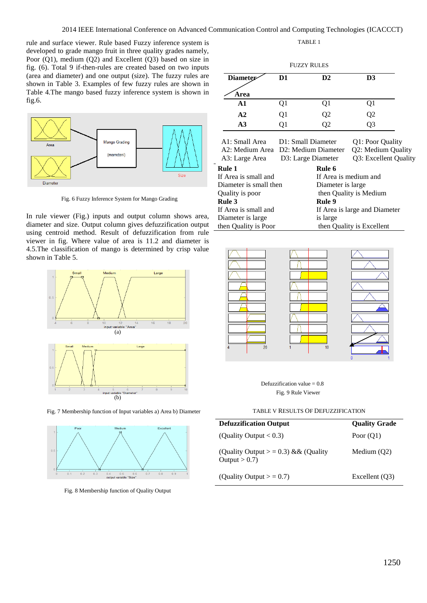rule and surface viewer. Rule based Fuzzy inference system is developed to grade mango fruit in three quality grades namely, Poor (Q1), medium (Q2) and Excellent (Q3) based on size in fig. (6). Total 9 if-then-rules are created based on two inputs (area and diameter) and one output (size). The fuzzy rules are shown in Table 3. Examples of few fuzzy rules are shown in Table 4.The mango based fuzzy inference system is shown in fig.6.



Fig. 6 Fuzzy Inference System for Mango Grading

In rule viewer (Fig.) inputs and output column shows area, diameter and size. Output column gives defuzzification output using centroid method. Result of defuzzification from rule viewer in fig. Where value of area is 11.2 and diameter is 4.5.The classification of mango is determined by crisp value shown in Table 5.



Fig. 7 Membership function of Input variables a) Area b) Diameter



Fig. 8 Membership function of Quality Output

| <b>FUZZY RULES</b>                                                                    |    |                                                                 |                                                                 |  |  |
|---------------------------------------------------------------------------------------|----|-----------------------------------------------------------------|-----------------------------------------------------------------|--|--|
| <b>Diameter</b>                                                                       | D1 | D2                                                              | D <sub>3</sub>                                                  |  |  |
| Area                                                                                  |    |                                                                 |                                                                 |  |  |
| A1                                                                                    | Q1 | Q1                                                              | Q1                                                              |  |  |
| A2                                                                                    | Q1 | Q2                                                              | Q <sub>2</sub>                                                  |  |  |
| A <sub>3</sub>                                                                        | Q1 | Q2                                                              | Q3                                                              |  |  |
| A1: Small Area<br>A2: Medium Area<br>A3: Large Area                                   |    | D1: Small Diameter<br>D2: Medium Diameter<br>D3: Large Diameter | Q1: Poor Quality<br>Q2: Medium Quality<br>Q3: Excellent Quality |  |  |
| Rule 1<br>If Area is small and<br>Diameter is small then<br>Quality is poor<br>Rule 3 |    | Rule 6<br>Diameter is large<br>Rule 9                           | If Area is medium and<br>then Quality is Medium                 |  |  |
| If Area is small and<br>Diameter is large                                             |    | is large                                                        | If Area is large and Diameter                                   |  |  |
| then Quality is Poor                                                                  |    |                                                                 | then Quality is Excellent                                       |  |  |

TABLE 1



Defuzzification value  $= 0.8$ Fig. 9 Rule Viewer

TABLE V RESULTS OF DEFUZZIFICATION

| <b>Defuzzification Output</b>                               | <b>Quality Grade</b> |
|-------------------------------------------------------------|----------------------|
| (Ouality Output $< 0.3$ )                                   | Poor $(01)$          |
| (Quality Output $>$ = 0.3) & & (Quality<br>Output $> 0.7$ ) | Medium $(02)$        |
| (Quality Output $> = 0.7$ )                                 | Excellent (O3)       |